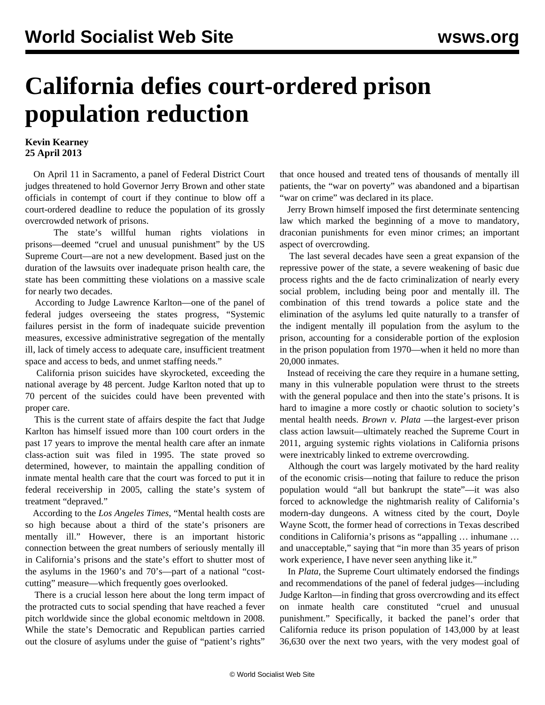## **California defies court-ordered prison population reduction**

## **Kevin Kearney 25 April 2013**

 On April 11 in Sacramento, a panel of Federal District Court judges threatened to hold Governor Jerry Brown and other state officials in contempt of court if they continue to blow off a court-ordered deadline to reduce the population of its grossly overcrowded network of prisons.

 The state's willful human rights violations in prisons—deemed "cruel and unusual punishment" by the US Supreme Court—are not a new development. Based just on the duration of the lawsuits over inadequate prison health care, the state has been committing these violations on a massive scale for nearly two decades.

 According to Judge Lawrence Karlton—one of the panel of federal judges overseeing the states progress, "Systemic failures persist in the form of inadequate suicide prevention measures, excessive administrative segregation of the mentally ill, lack of timely access to adequate care, insufficient treatment space and access to beds, and unmet staffing needs."

 California prison suicides have skyrocketed, exceeding the national average by 48 percent. Judge Karlton noted that up to 70 percent of the suicides could have been prevented with proper care.

 This is the current state of affairs despite the fact that Judge Karlton has himself issued more than 100 court orders in the past 17 years to improve the mental health care after an inmate class-action suit was filed in 1995. The state proved so determined, however, to maintain the appalling condition of inmate mental health care that the court was forced to put it in federal receivership in 2005, calling the state's system of treatment "depraved."

 According to the *Los Angeles Times*, "Mental health costs are so high because about a third of the state's prisoners are mentally ill." However, there is an important historic connection between the great numbers of seriously mentally ill in California's prisons and the state's effort to shutter most of the asylums in the 1960's and 70's—part of a national "costcutting" measure—which frequently goes overlooked.

 There is a crucial lesson here about the long term impact of the protracted cuts to social spending that have reached a fever pitch worldwide since the global economic meltdown in 2008. While the state's Democratic and Republican parties carried out the closure of asylums under the guise of "patient's rights"

that once housed and treated tens of thousands of mentally ill patients, the "war on poverty" was abandoned and a bipartisan "war on crime" was declared in its place.

 Jerry Brown himself imposed the first determinate sentencing law which marked the beginning of a move to mandatory, draconian punishments for even minor crimes; an important aspect of overcrowding.

 The last several decades have seen a great expansion of the repressive power of the state, a severe weakening of basic due process rights and the de facto criminalization of nearly every social problem, including being poor and mentally ill. The combination of this trend towards a police state and the elimination of the asylums led quite naturally to a transfer of the indigent mentally ill population from the asylum to the prison, accounting for a considerable portion of the explosion in the prison population from 1970—when it held no more than 20,000 inmates.

 Instead of receiving the care they require in a humane setting, many in this vulnerable population were thrust to the streets with the general populace and then into the state's prisons. It is hard to imagine a more costly or chaotic solution to society's mental health needs. *Brown v. Plata* —the largest-ever prison class action lawsuit—ultimately reached the Supreme Court in 2011, arguing systemic rights violations in California prisons were inextricably linked to extreme overcrowding.

 Although the court was largely motivated by the hard reality of the economic crisis—noting that failure to reduce the prison population would "all but bankrupt the state"—it was also forced to acknowledge the nightmarish reality of California's modern-day dungeons. A witness cited by the court, Doyle Wayne Scott, the former head of corrections in Texas described conditions in California's prisons as "appalling … inhumane … and unacceptable," saying that "in more than 35 years of prison work experience, I have never seen anything like it."

 In *Plata*, the Supreme Court ultimately endorsed the findings and recommendations of the panel of federal judges—including Judge Karlton—in finding that gross overcrowding and its effect on inmate health care constituted "cruel and unusual punishment." Specifically, it backed the panel's order that California reduce its prison population of 143,000 by at least 36,630 over the next two years, with the very modest goal of